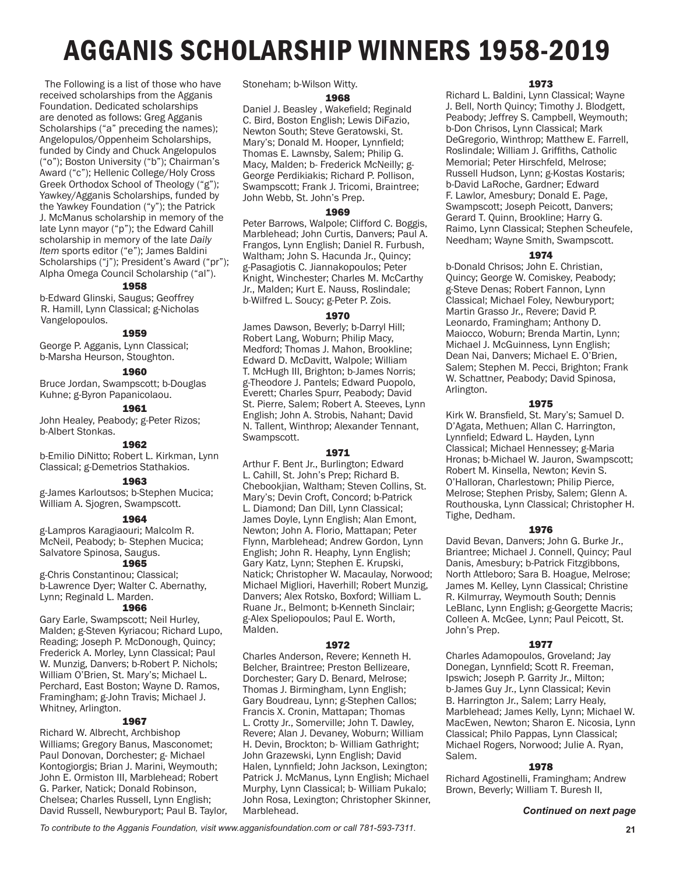# AGGANIS SCHOLARSHIP WINNERS 1958-2019

 The Following is a list of those who have received scholarships from the Agganis Foundation. Dedicated scholarships are denoted as follows: Greg Agganis Scholarships ("a" preceding the names); Angelopulos/Oppenheim Scholarships, funded by Cindy and Chuck Angelopulos ("o"); Boston University ("b"); Chairman's Award ("c"); Hellenic College/Holy Cross Greek Orthodox School of Theology ("g"); Yawkey/Agganis Scholarships, funded by the Yawkey Foundation ("y"); the Patrick J. McManus scholarship in memory of the late Lynn mayor ("p"); the Edward Cahill scholarship in memory of the late *Daily Item* sports editor ("e"); James Baldini Scholarships ("j"); President's Award ("pr"); Alpha Omega Council Scholarship ("al").

# 1958

b-Edward Glinski, Saugus; Geoffrey R. Hamill, Lynn Classical; g-Nicholas Vangelopoulos.

# 1959

George P. Agganis, Lynn Classical; b-Marsha Heurson, Stoughton.

## 1960

Bruce Jordan, Swampscott; b-Douglas Kuhne; g-Byron Papanicolaou.

# 1961

John Healey, Peabody; g-Peter Rizos; b-Albert Stonkas.

# 1962

b-Emilio DiNitto; Robert L. Kirkman, Lynn Classical; g-Demetrios Stathakios.

# 1963

g-James Karloutsos; b-Stephen Mucica; William A. Sjogren, Swampscott.

# 1964

g-Lampros Karagiaouri; Malcolm R. McNeil, Peabody; b- Stephen Mucica; Salvatore Spinosa, Saugus.

# 1965

g-Chris Constantinou; Classical; b-Lawrence Dyer; Walter C. Abernathy, Lynn; Reginald L. Marden.

# 1966

Gary Earle, Swampscott; Neil Hurley, Malden; g-Steven Kyriacou; Richard Lupo, Reading; Joseph P. McDonough, Quincy; Frederick A. Morley, Lynn Classical; Paul W. Munzig, Danvers; b-Robert P. Nichols; William O'Brien, St. Mary's; Michael L. Perchard, East Boston; Wayne D. Ramos, Framingham; g-John Travis; Michael J. Whitney, Arlington.

# 1967

Richard W. Albrecht, Archbishop Williams; Gregory Banus, Masconomet; Paul Donovan, Dorchester; g- Michael Kontogiorgis; Brian J. Marini, Weymouth; John E. Ormiston III, Marblehead; Robert G. Parker, Natick; Donald Robinson, Chelsea; Charles Russell, Lynn English; David Russell, Newburyport; Paul B. Taylor, Stoneham; b-Wilson Witty.

#### 1968

Daniel J. Beasley , Wakefield; Reginald C. Bird, Boston English; Lewis DiFazio, Newton South; Steve Geratowski, St. Mary's; Donald M. Hooper, Lynnfield; Thomas E. Lawnsby, Salem; Philip G. Macy, Malden; b- Frederick McNeilly; g-George Perdikiakis; Richard P. Pollison, Swampscott; Frank J. Tricomi, Braintree; John Webb, St. John's Prep.

## 1969

Peter Barrows, Walpole; Clifford C. Boggis, Marblehead; John Curtis, Danvers; Paul A. Frangos, Lynn English; Daniel R. Furbush, Waltham; John S. Hacunda Jr., Quincy; g-Pasagiotis C. Jiannakopoulos; Peter Knight, Winchester; Charles M. McCarthy Jr., Malden; Kurt E. Nauss, Roslindale; b-Wilfred L. Soucy; g-Peter P. Zois.

#### 1970

James Dawson, Beverly; b-Darryl Hill; Robert Lang, Woburn; Philip Macy, Medford; Thomas J. Mahon, Brookline; Edward D. McDavitt, Walpole; William T. McHugh III, Brighton; b-James Norris; g-Theodore J. Pantels; Edward Puopolo, Everett; Charles Spurr, Peabody; David St. Pierre, Salem; Robert A. Steeves, Lynn English; John A. Strobis, Nahant; David N. Tallent, Winthrop; Alexander Tennant, Swampscott.

## 1971

Arthur F. Bent Jr., Burlington; Edward L. Cahill, St. John's Prep; Richard B. Chebookjian, Waltham; Steven Collins, St. Mary's; Devin Croft, Concord; b-Patrick L. Diamond; Dan Dill, Lynn Classical; James Doyle, Lynn English; Alan Emont, Newton; John A. Florio, Mattapan; Peter Flynn, Marblehead; Andrew Gordon, Lynn English; John R. Heaphy, Lynn English; Gary Katz, Lynn; Stephen E. Krupski, Natick; Christopher W. Macaulay, Norwood; Michael Migliori, Haverhill; Robert Munzig, Danvers; Alex Rotsko, Boxford; William L. Ruane Jr., Belmont; b-Kenneth Sinclair; g-Alex Speliopoulos; Paul E. Worth, Malden.

## 1972

Charles Anderson, Revere; Kenneth H. Belcher, Braintree; Preston Bellizeare, Dorchester; Gary D. Benard, Melrose; Thomas J. Birmingham, Lynn English; Gary Boudreau, Lynn; g-Stephen Callos; Francis X. Cronin, Mattapan; Thomas L. Crotty Jr., Somerville; John T. Dawley, Revere; Alan J. Devaney, Woburn; William H. Devin, Brockton; b- William Gathright; John Grazewski, Lynn English; David Halen, Lynnfield; John Jackson, Lexington; Patrick J. McManus, Lynn English; Michael Murphy, Lynn Classical; b- William Pukalo; John Rosa, Lexington; Christopher Skinner, Marblehead.

#### 1973

Richard L. Baldini, Lynn Classical; Wayne J. Bell, North Quincy; Timothy J. Blodgett, Peabody; Jeffrey S. Campbell, Weymouth; b-Don Chrisos, Lynn Classical; Mark DeGregorio, Winthrop; Matthew E. Farrell, Roslindale; William J. Griffiths, Catholic Memorial; Peter Hirschfeld, Melrose; Russell Hudson, Lynn; g-Kostas Kostaris; b-David LaRoche, Gardner; Edward F. Lawlor, Amesbury; Donald E. Page, Swampscott; Joseph Peicott, Danvers; Gerard T. Quinn, Brookline; Harry G. Raimo, Lynn Classical; Stephen Scheufele, Needham; Wayne Smith, Swampscott.

# 1974

b-Donald Chrisos; John E. Christian, Quincy; George W. Comiskey, Peabody; g-Steve Denas; Robert Fannon, Lynn Classical; Michael Foley, Newburyport; Martin Grasso Jr., Revere; David P. Leonardo, Framingham; Anthony D. Maiocco, Woburn; Brenda Martin, Lynn; Michael J. McGuinness, Lynn English; Dean Nai, Danvers; Michael E. O'Brien, Salem; Stephen M. Pecci, Brighton; Frank W. Schattner, Peabody; David Spinosa, Arlington.

## 1975

Kirk W. Bransfield, St. Mary's; Samuel D. D'Agata, Methuen; Allan C. Harrington, Lynnfield; Edward L. Hayden, Lynn Classical; Michael Hennessey; g-Maria Hronas; b-Michael W. Jauron, Swampscott; Robert M. Kinsella, Newton; Kevin S. O'Halloran, Charlestown; Philip Pierce, Melrose; Stephen Prisby, Salem; Glenn A. Routhouska, Lynn Classical; Christopher H. Tighe, Dedham.

#### 1976

David Bevan, Danvers; John G. Burke Jr., Briantree; Michael J. Connell, Quincy; Paul Danis, Amesbury; b-Patrick Fitzgibbons, North Attleboro; Sara B. Hoague, Melrose; James M. Kelley, Lynn Classical; Christine R. Kilmurray, Weymouth South; Dennis LeBlanc, Lynn English; g-Georgette Macris; Colleen A. McGee, Lynn; Paul Peicott, St. John's Prep.

# 1977

Charles Adamopoulos, Groveland; Jay Donegan, Lynnfield; Scott R. Freeman, Ipswich; Joseph P. Garrity Jr., Milton; b-James Guy Jr., Lynn Classical; Kevin B. Harrington Jr., Salem; Larry Healy, Marblehead; James Kelly, Lynn; Michael W. MacEwen, Newton; Sharon E. Nicosia, Lynn Classical; Philo Pappas, Lynn Classical; Michael Rogers, Norwood; Julie A. Ryan, Salem.

# 1978

Richard Agostinelli, Framingham; Andrew Brown, Beverly; William T. Buresh II,

# *Continued on next page*

*To contribute to the Agganis Foundation, visit www.agganisfoundation.com or call 781-593-7311*. **21**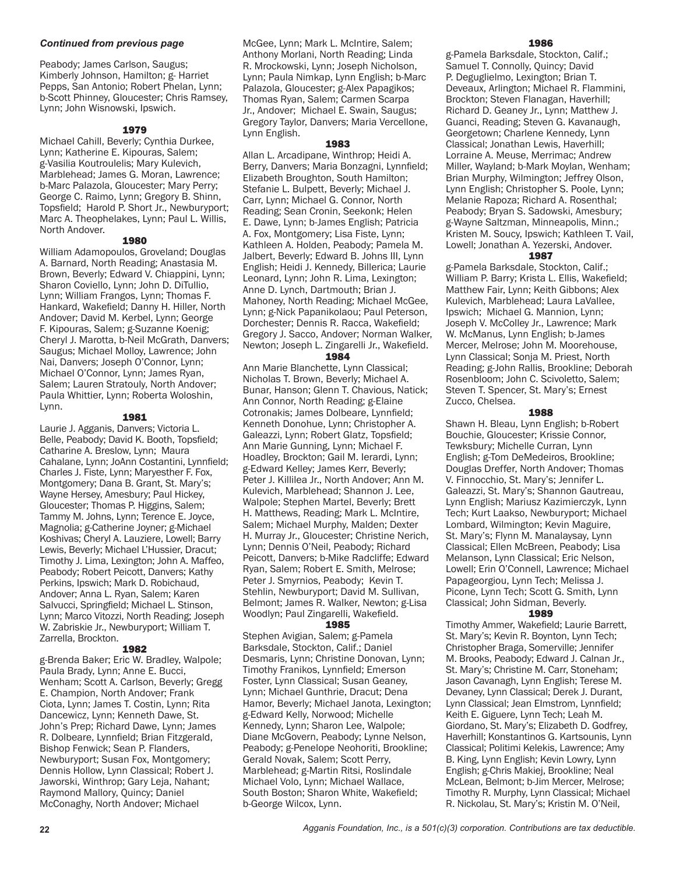# *Continued from previous page*

Peabody; James Carlson, Saugus; Kimberly Johnson, Hamilton; g- Harriet Pepps, San Antonio; Robert Phelan, Lynn; b-Scott Phinney, Gloucester; Chris Ramsey, Lynn; John Wisnowski, Ipswich.

# 1979

Michael Cahill, Beverly; Cynthia Durkee, Lynn; Katherine E. Kipouras, Salem; g-Vasilia Koutroulelis; Mary Kulevich, Marblehead; James G. Moran, Lawrence; b-Marc Palazola, Gloucester; Mary Perry; George C. Raimo, Lynn; Gregory B. Shinn, Topsfield; Harold P. Short Jr., Newburyport; Marc A. Theophelakes, Lynn; Paul L. Willis, North Andover.

# 1980

William Adamopoulos, Groveland; Douglas A. Barnard, North Reading; Anastasia M. Brown, Beverly; Edward V. Chiappini, Lynn; Sharon Coviello, Lynn; John D. DiTullio, Lynn; William Frangos, Lynn; Thomas F. Hankard, Wakefield; Danny H. Hiller, North Andover; David M. Kerbel, Lynn; George F. Kipouras, Salem; g-Suzanne Koenig; Cheryl J. Marotta, b-Neil McGrath, Danvers; Saugus; Michael Molloy, Lawrence; John Nai, Danvers; Joseph O'Connor, Lynn; Michael O'Connor, Lynn; James Ryan, Salem; Lauren Stratouly, North Andover; Paula Whittier, Lynn; Roberta Woloshin, Lynn.

# 1981

Laurie J. Agganis, Danvers; Victoria L. Belle, Peabody; David K. Booth, Topsfield; Catharine A. Breslow, Lynn; Maura Cahalane, Lynn; JoAnn Costantini, Lynnfield; Charles J. Fiste, Lynn; Maryesther F. Fox, Montgomery; Dana B. Grant, St. Mary's; Wayne Hersey, Amesbury; Paul Hickey, Gloucester; Thomas P. Higgins, Salem; Tammy M. Johns, Lynn; Terence E. Joyce, Magnolia; g-Catherine Joyner; g-Michael Koshivas; Cheryl A. Lauziere, Lowell; Barry Lewis, Beverly; Michael L'Hussier, Dracut; Timothy J. Lima, Lexington; John A. Maffeo, Peabody; Robert Peicott, Danvers; Kathy Perkins, Ipswich; Mark D. Robichaud, Andover; Anna L. Ryan, Salem; Karen Salvucci, Springfield; Michael L. Stinson, Lynn; Marco Vitozzi, North Reading; Joseph W. Zabriskie Jr., Newburyport; William T. Zarrella, Brockton.

# 1982

g-Brenda Baker; Eric W. Bradley, Walpole; Paula Brady, Lynn; Anne E. Bucci, Wenham; Scott A. Carlson, Beverly; Gregg E. Champion, North Andover; Frank Ciota, Lynn; James T. Costin, Lynn; Rita Dancewicz, Lynn; Kenneth Dawe, St. John's Prep; Richard Dawe, Lynn; James R. Dolbeare, Lynnfield; Brian Fitzgerald, Bishop Fenwick; Sean P. Flanders, Newburyport; Susan Fox, Montgomery; Dennis Hollow, Lynn Classical; Robert J. Jaworski, Winthrop; Gary Leja, Nahant; Raymond Mallory, Quincy; Daniel McConaghy, North Andover; Michael

McGee, Lynn; Mark L. McIntire, Salem; Anthony Morlani, North Reading; Linda R. Mrockowski, Lynn; Joseph Nicholson, Lynn; Paula Nimkap, Lynn English; b-Marc Palazola, Gloucester; g-Alex Papagikos; Thomas Ryan, Salem; Carmen Scarpa Jr., Andover; Michael E. Swain, Saugus; Gregory Taylor, Danvers; Maria Vercellone, Lynn English.

# 1983

Allan L. Arcadipane, Winthrop; Heidi A. Berry, Danvers; Maria Bonzagni, Lynnfield; Elizabeth Broughton, South Hamilton; Stefanie L. Bulpett, Beverly; Michael J. Carr, Lynn; Michael G. Connor, North Reading; Sean Cronin, Seekonk; Helen E. Dawe, Lynn; b-James English; Patricia A. Fox, Montgomery; Lisa Fiste, Lynn; Kathleen A. Holden, Peabody; Pamela M. Jalbert, Beverly; Edward B. Johns III, Lynn English; Heidi J. Kennedy, Billerica; Laurie Leonard, Lynn; John R. Lima, Lexington; Anne D. Lynch, Dartmouth; Brian J. Mahoney, North Reading; Michael McGee, Lynn; g-Nick Papanikolaou; Paul Peterson, Dorchester; Dennis R. Racca, Wakefield; Gregory J. Sacco, Andover; Norman Walker, Newton; Joseph L. Zingarelli Jr., Wakefield.

# 1984

Ann Marie Blanchette, Lynn Classical; Nicholas T. Brown, Beverly; Michael A. Bunar, Hanson; Glenn T. Chavious, Natick; Ann Connor, North Reading; g-Elaine Cotronakis; James Dolbeare, Lynnfield; Kenneth Donohue, Lynn; Christopher A. Galeazzi, Lynn; Robert Glatz, Topsfield; Ann Marie Gunning, Lynn; Michael F. Hoadley, Brockton; Gail M. Ierardi, Lynn; g-Edward Kelley; James Kerr, Beverly; Peter J. Killilea Jr., North Andover; Ann M. Kulevich, Marblehead; Shannon J. Lee, Walpole; Stephen Martel, Beverly; Brett H. Matthews, Reading; Mark L. McIntire, Salem; Michael Murphy, Malden; Dexter H. Murray Jr., Gloucester; Christine Nerich, Lynn; Dennis O'Neil, Peabody; Richard Peicott, Danvers; b-Mike Radcliffe; Edward Ryan, Salem; Robert E. Smith, Melrose; Peter J. Smyrnios, Peabody; Kevin T. Stehlin, Newburyport; David M. Sullivan, Belmont; James R. Walker, Newton; g-Lisa Woodlyn; Paul Zingarelli, Wakefield.

# 1985

Stephen Avigian, Salem; g-Pamela Barksdale, Stockton, Calif.; Daniel Desmaris, Lynn; Christine Donovan, Lynn; Timothy Franikos, Lynnfield; Emerson Foster, Lynn Classical; Susan Geaney, Lynn; Michael Gunthrie, Dracut; Dena Hamor, Beverly; Michael Janota, Lexington; g-Edward Kelly, Norwood; Michelle Kennedy, Lynn; Sharon Lee, Walpole; Diane McGovern, Peabody; Lynne Nelson, Peabody; g-Penelope Neohoriti, Brookline; Gerald Novak, Salem; Scott Perry, Marblehead; g-Martin Ritsi, Roslindale Michael Volo, Lynn; Michael Wallace, South Boston; Sharon White, Wakefield; b-George Wilcox, Lynn.

#### 1986

g-Pamela Barksdale, Stockton, Calif.; Samuel T. Connolly, Quincy; David P. Deguglielmo, Lexington; Brian T. Deveaux, Arlington; Michael R. Flammini, Brockton; Steven Flanagan, Haverhill; Richard D. Geaney Jr., Lynn; Matthew J. Guanci, Reading; Steven G. Kavanaugh, Georgetown; Charlene Kennedy, Lynn Classical; Jonathan Lewis, Haverhill; Lorraine A. Meuse, Merrimac; Andrew Miller, Wayland; b-Mark Moylan, Wenham; Brian Murphy, Wilmington; Jeffrey Olson, Lynn English; Christopher S. Poole, Lynn; Melanie Rapoza; Richard A. Rosenthal; Peabody; Bryan S. Sadowski, Amesbury; g-Wayne Saltzman, Minneapolis, Minn.; Kristen M. Soucy, Ipswich; Kathleen T. Vail, Lowell; Jonathan A. Yezerski, Andover.

# 1987

g-Pamela Barksdale, Stockton, Calif.; William P. Barry; Krista L. Ellis, Wakefield; Matthew Fair, Lynn; Keith Gibbons; Alex Kulevich, Marblehead; Laura LaVallee, Ipswich; Michael G. Mannion, Lynn; Joseph V. McColley Jr., Lawrence; Mark W. McManus, Lynn English; b-James Mercer, Melrose; John M. Moorehouse, Lynn Classical; Sonja M. Priest, North Reading; g-John Rallis, Brookline; Deborah Rosenbloom; John C. Scivoletto, Salem; Steven T. Spencer, St. Mary's; Ernest Zucco, Chelsea.

#### 1988

Shawn H. Bleau, Lynn English; b-Robert Bouchie, Gloucester; Krissie Connor, Tewksbury; Michelle Curran, Lynn English; g-Tom DeMedeiros, Brookline; Douglas Dreffer, North Andover; Thomas V. Finnocchio, St. Mary's; Jennifer L. Galeazzi, St. Mary's; Shannon Gautreau, Lynn English; Mariusz Kazimierczyk, Lynn Tech; Kurt Laakso, Newburyport; Michael Lombard, Wilmington; Kevin Maguire, St. Mary's; Flynn M. Manalaysay, Lynn Classical; Ellen McBreen, Peabody; Lisa Melanson, Lynn Classical; Eric Nelson, Lowell; Erin O'Connell, Lawrence; Michael Papageorgiou, Lynn Tech; Melissa J. Picone, Lynn Tech; Scott G. Smith, Lynn Classical; John Sidman, Beverly.

#### 1989

Timothy Ammer, Wakefield; Laurie Barrett, St. Mary's; Kevin R. Boynton, Lynn Tech; Christopher Braga, Somerville; Jennifer M. Brooks, Peabody; Edward J. Calnan Jr., St. Mary's; Christine M. Carr, Stoneham; Jason Cavanagh, Lynn English; Terese M. Devaney, Lynn Classical; Derek J. Durant, Lynn Classical; Jean EImstrom, Lynnfield; Keith E. Giguere, Lynn Tech; Leah M. Giordano, St. Mary's; Elizabeth D. Godfrey, Haverhill; Konstantinos G. Kartsounis, Lynn Classical; Politimi Kelekis, Lawrence; Amy B. King, Lynn English; Kevin Lowry, Lynn English; g-Chris Makiej, Brookline; Neal McLean, Belmont; b-Jim Mercer, Melrose; Timothy R. Murphy, Lynn Classical; Michael R. Nickolau, St. Mary's; Kristin M. O'Neil,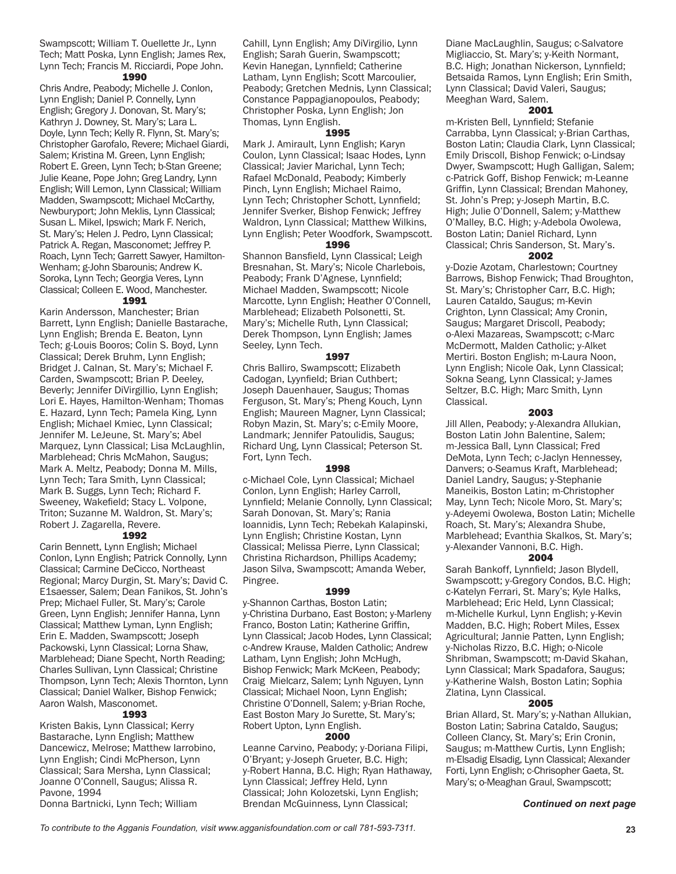Swampscott; William T. Ouellette Jr., Lynn Tech; Matt Poska, Lynn English; James Rex, Lynn Tech; Francis M. Ricciardi, Pope John.

# 1990

Chris Andre, Peabody; Michelle J. Conlon, Lynn English; Daniel P. Connelly, Lynn English; Gregory J. Donovan, St. Mary's; Kathryn J. Downey, St. Mary's; Lara L. Doyle, Lynn Tech; Kelly R. Flynn, St. Mary's; Christopher Garofalo, Revere; Michael Giardi, Salem; Kristina M. Green, Lynn English; Robert E. Green, Lynn Tech; b-Stan Greene; Julie Keane, Pope John; Greg Landry, Lynn English; Will Lemon, Lynn Classical; William Madden, Swampscott; Michael McCarthy, Newburyport; John Meklis, Lynn Classical; Susan L. Mikel, Ipswich; Mark F. Nerich, St. Mary's; Helen J. Pedro, Lynn Classical; Patrick A. Regan, Masconomet; Jeffrey P. Roach, Lynn Tech; Garrett Sawyer, Hamilton-Wenham; g-John Sbarounis; Andrew K. Soroka, Lynn Tech; Georgia Veres, Lynn Classical; Colleen E. Wood, Manchester.

# 1991

Karin Andersson, Manchester; Brian Barrett, Lynn English; Danielle Bastarache, Lynn English; Brenda E. Beaton, Lynn Tech; g-Louis Booros; Colin S. Boyd, Lynn Classical; Derek Bruhm, Lynn English; Bridget J. Calnan, St. Mary's; Michael F. Carden, Swampscott; Brian P. Deeley, Beverly; Jennifer DiVirgillio, Lynn English; Lori E. Hayes, Hamilton-Wenham; Thomas E. Hazard, Lynn Tech; Pamela King, Lynn English; Michael Kmiec, Lynn Classical; Jennifer M. LeJeune, St. Mary's; Abel Marquez, Lynn Classical; Lisa McLaughlin, Marblehead; Chris McMahon, Saugus; Mark A. Meltz, Peabody; Donna M. Mills, Lynn Tech; Tara Smith, Lynn Classical; Mark B. Suggs, Lynn Tech; Richard F. Sweeney, Wakefield; Stacy L. Volpone, Triton; Suzanne M. Waldron, St. Mary's; Robert J. Zagarella, Revere.

#### 1992

Carin Bennett, Lynn English; Michael Conlon, Lynn English; Patrick Connolly, Lynn Classical; Carmine DeCicco, Northeast Regional; Marcy Durgin, St. Mary's; David C. E1saesser, Salem; Dean Fanikos, St. John's Prep; Michael Fuller, St. Mary's; Carole Green, Lynn English; Jennifer Hanna, Lynn Classical; Matthew Lyman, Lynn English; Erin E. Madden, Swampscott; Joseph Packowski, Lynn Classical; Lorna Shaw, Marblehead; Diane Specht, North Reading; Charles Sullivan, Lynn Classical; Christine Thompson, Lynn Tech; Alexis Thornton, Lynn Classical; Daniel Walker, Bishop Fenwick; Aaron Walsh, Masconomet.

# 1993

Kristen Bakis, Lynn Classical; Kerry Bastarache, Lynn English; Matthew Dancewicz, Melrose; Matthew Iarrobino, Lynn English; Cindi McPherson, Lynn Classical; Sara Mersha, Lynn Classical; Joanne O'Connell, Saugus; Alissa R. Pavone, 1994

Donna Bartnicki, Lynn Tech; William

Cahill, Lynn English; Amy DiVirgilio, Lynn English; Sarah Guerin, Swampscott; Kevin Hanegan, Lynnfield; Catherine Latham, Lynn English; Scott Marcoulier, Peabody; Gretchen Mednis, Lynn Classical; Constance Pappagianopoulos, Peabody; Christopher Poska, Lynn English; Jon Thomas, Lynn English.

#### 1995

Mark J. Amirault, Lynn English; Karyn Coulon, Lynn Classical; Isaac Hodes, Lynn Classical; Javier Marichal, Lynn Tech; Rafael McDonald, Peabody; Kimberly Pinch, Lynn English; Michael Raimo, Lynn Tech; Christopher Schott, Lynnfield; Jennifer Sverker, Bishop Fenwick; Jeffrey Waldron, Lynn Classical; Matthew Wilkins, Lynn English; Peter Woodfork, Swampscott. 1996

Shannon Bansfield, Lynn Classical; Leigh Bresnahan, St. Mary's; Nicole Charlebois, Peabody; Frank D'Agnese, Lynnfield; Michael Madden, Swampscott; Nicole Marcotte, Lynn English; Heather O'Connell, Marblehead; Elizabeth Polsonetti, St. Mary's; Michelle Ruth, Lynn Classical; Derek Thompson, Lynn English; James Seeley, Lynn Tech.

#### 1997

Chris Balliro, Swampscott; Elizabeth Cadogan, Lyynfield; Brian Cuthbert; Joseph Dauenhauer, Saugus; Thomas Ferguson, St. Mary's; Pheng Kouch, Lynn English; Maureen Magner, Lynn Classical; Robyn Mazin, St. Mary's; c-Emily Moore, Landmark; Jennifer Patoulidis, Saugus; Richard Ung, Lynn Classical; Peterson St. Fort, Lynn Tech.

# 1998

c-Michael Cole, Lynn Classical; Michael Conlon, Lynn English; Harley Carroll, Lynnfield; Melanie Connolly, Lynn Classical; Sarah Donovan, St. Mary's; Rania Ioannidis, Lynn Tech; Rebekah Kalapinski, Lynn English; Christine Kostan, Lynn Classical; Melissa Pierre, Lynn Classical; Christina Richardson, Phillips Academy; Jason Silva, Swampscott; Amanda Weber, Pingree.

#### 1999

y-Shannon Carthas, Boston Latin; y-Christina Durbano, East Boston; y-Marleny Franco, Boston Latin; Katherine Griffin, Lynn Classical; Jacob Hodes, Lynn Classical; c-Andrew Krause, Malden Catholic; Andrew Latham, Lynn English; John McHugh, Bishop Fenwick; Mark McKeen, Peabody; Craig Mielcarz, Salem; Lynh Nguyen, Lynn Classical; Michael Noon, Lynn English; Christine O'Donnell, Salem; y-Brian Roche, East Boston Mary Jo Surette, St. Mary's; Robert Upton, Lynn English.

#### 2000

Leanne Carvino, Peabody; y-Doriana Filipi, O'Bryant; y-Joseph Grueter, B.C. High; y-Robert Hanna, B.C. High; Ryan Hathaway, Lynn Classical; Jeffrey Held, Lynn Classical; John Kolozetski, Lynn English; Brendan McGuinness, Lynn Classical;

Diane MacLaughlin, Saugus; c-Salvatore Migliaccio, St. Mary's; y-Keith Normant, B.C. High; Jonathan Nickerson, Lynnfield; Betsaida Ramos, Lynn English; Erin Smith, Lynn Classical; David Valeri, Saugus; Meeghan Ward, Salem.

# 2001

m-Kristen Bell, Lynnfield; Stefanie Carrabba, Lynn Classical; y-Brian Carthas, Boston Latin; Claudia Clark, Lynn Classical; Emily Driscoll, Bishop Fenwick; o-Lindsay Dwyer, Swampscott; Hugh Galligan, Salem; c-Patrick Goff, Bishop Fenwick; m-Leanne Griffin, Lynn Classical; Brendan Mahoney, St. John's Prep; y-Joseph Martin, B.C. High; Julie O'Donnell, Salem; y-Matthew O'Malley, B.C. High; y-Adebola Owolewa, Boston Latin; Daniel Richard, Lynn Classical; Chris Sanderson, St. Mary's.

# 2002

y-Dozie Azotam, Charlestown; Courtney Barrows, Bishop Fenwick; Thad Broughton, St. Mary's; Christopher Carr, B.C. High; Lauren Cataldo, Saugus; m-Kevin Crighton, Lynn Classical; Amy Cronin, Saugus; Margaret Driscoll, Peabody; o-Alexi Mazareas, Swampscott; c-Marc McDermott, Malden Catholic; y-Alket Mertiri. Boston English; m-Laura Noon, Lynn English; Nicole Oak, Lynn Classical; Sokna Seang, Lynn Classical; y-James Seltzer, B.C. High; Marc Smith, Lynn Classical.

# 2003

Jill Allen, Peabody; y-Alexandra Allukian, Boston Latin John Balentine, Salem; m-Jessica Ball, Lynn Classical; Fred DeMota, Lynn Tech; c-Jaclyn Hennessey, Danvers; o-Seamus Kraft, Marblehead; Daniel Landry, Saugus; y-Stephanie Maneikis, Boston Latin; m-Christopher May, Lynn Tech; Nicole Moro, St. Mary's; y-Adeyemi Owolewa, Boston Latin; Michelle Roach, St. Mary's; Alexandra Shube, Marblehead; Evanthia Skalkos, St. Mary's; y-Alexander Vannoni, B.C. High.

#### 2004

Sarah Bankoff, Lynnfield; Jason Blydell, Swampscott; y-Gregory Condos, B.C. High; c-Katelyn Ferrari, St. Mary's; Kyle Halks, Marblehead; Eric Held, Lynn Classical; m-Michelle Kurkul, Lynn English; y-Kevin Madden, B.C. High; Robert Miles, Essex Agricultural; Jannie Patten, Lynn English; y-Nicholas Rizzo, B.C. High; o-Nicole Shribman, Swampscott; m-David Skahan, Lynn Classical; Mark Spadafora, Saugus; y-Katherine Walsh, Boston Latin; Sophia Zlatina, Lynn Classical.

## 2005

Brian Allard, St. Mary's; y-Nathan Allukian, Boston Latin; Sabrina Cataldo, Saugus; Colleen Clancy, St. Mary's; Erin Cronin, Saugus; m-Matthew Curtis, Lynn English; m-Elsadig Elsadig, Lynn Classical; Alexander Forti, Lynn English; c-Chrisopher Gaeta, St. Mary's; o-Meaghan Graul, Swampscott;

#### *Continued on next page*

*To contribute to the Agganis Foundation, visit www.agganisfoundation.com or call 781-593-7311.* **23**